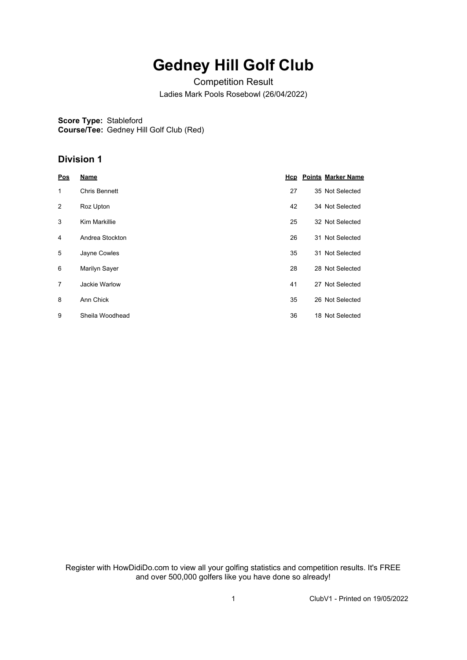## **Gedney Hill Golf Club**

Competition Result Ladies Mark Pools Rosebowl (26/04/2022)

**Score Type:** Stableford **Course/Tee:** Gedney Hill Golf Club (Red)

## **Division 1**

| Pos | <b>Name</b>          |    | <b>Hcp</b> Points Marker Name |
|-----|----------------------|----|-------------------------------|
| 1   | Chris Bennett        | 27 | 35 Not Selected               |
| 2   | Roz Upton            | 42 | 34 Not Selected               |
| 3   | <b>Kim Markillie</b> | 25 | 32 Not Selected               |
| 4   | Andrea Stockton      | 26 | 31 Not Selected               |
| 5   | Jayne Cowles         | 35 | 31 Not Selected               |
| 6   | Marilyn Sayer        | 28 | 28 Not Selected               |
| 7   | Jackie Warlow        | 41 | 27 Not Selected               |
| 8   | Ann Chick            | 35 | 26 Not Selected               |
| 9   | Sheila Woodhead      | 36 | 18 Not Selected               |

Register with HowDidiDo.com to view all your golfing statistics and competition results. It's FREE and over 500,000 golfers like you have done so already!